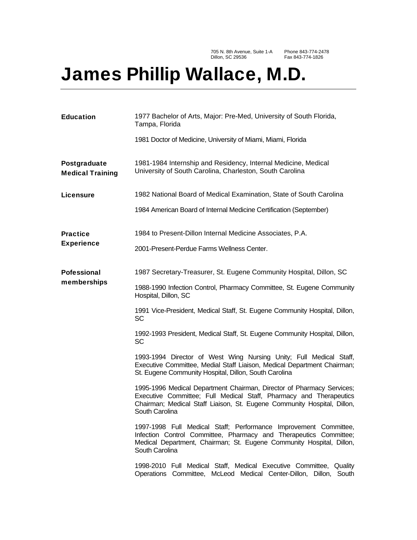705 N. 8th Avenue, Suite 1-A Dillon, SC 29536

Phone 843-774-2478 Fax 843-774-1826

## James Phillip Wallace, M.D.

| <b>Education</b>                        | 1977 Bachelor of Arts, Major: Pre-Med, University of South Florida,<br>Tampa, Florida                                                                                                                                                    |
|-----------------------------------------|------------------------------------------------------------------------------------------------------------------------------------------------------------------------------------------------------------------------------------------|
|                                         | 1981 Doctor of Medicine, University of Miami, Miami, Florida                                                                                                                                                                             |
| Postgraduate<br><b>Medical Training</b> | 1981-1984 Internship and Residency, Internal Medicine, Medical<br>University of South Carolina, Charleston, South Carolina                                                                                                               |
| Licensure                               | 1982 National Board of Medical Examination, State of South Carolina                                                                                                                                                                      |
|                                         | 1984 American Board of Internal Medicine Certification (September)                                                                                                                                                                       |
| <b>Practice</b><br><b>Experience</b>    | 1984 to Present-Dillon Internal Medicine Associates, P.A.                                                                                                                                                                                |
|                                         | 2001-Present-Perdue Farms Wellness Center.                                                                                                                                                                                               |
| <b>Pofessional</b><br>memberships       | 1987 Secretary-Treasurer, St. Eugene Community Hospital, Dillon, SC                                                                                                                                                                      |
|                                         | 1988-1990 Infection Control, Pharmacy Committee, St. Eugene Community<br>Hospital, Dillon, SC                                                                                                                                            |
|                                         | 1991 Vice-President, Medical Staff, St. Eugene Community Hospital, Dillon,<br>SC                                                                                                                                                         |
|                                         | 1992-1993 President, Medical Staff, St. Eugene Community Hospital, Dillon,<br>SC                                                                                                                                                         |
|                                         | 1993-1994 Director of West Wing Nursing Unity; Full Medical Staff,<br>Executive Committee, Medial Staff Liaison, Medical Department Chairman;<br>St. Eugene Community Hospital, Dillon, South Carolina                                   |
|                                         | 1995-1996 Medical Department Chairman, Director of Pharmacy Services;<br>Executive Committee; Full Medical Staff, Pharmacy and Therapeutics<br>Chairman; Medical Staff Liaison, St. Eugene Community Hospital, Dillon,<br>South Carolina |
|                                         | 1997-1998 Full Medical Staff; Performance Improvement Committee,<br>Infection Control Committee, Pharmacy and Therapeutics Committee;<br>Medical Department, Chairman; St. Eugene Community Hospital, Dillon,<br>South Carolina          |
|                                         | 1998-2010 Full Medical Staff, Medical Executive Committee, Quality<br>Operations Committee, McLeod Medical Center-Dillon, Dillon, South                                                                                                  |